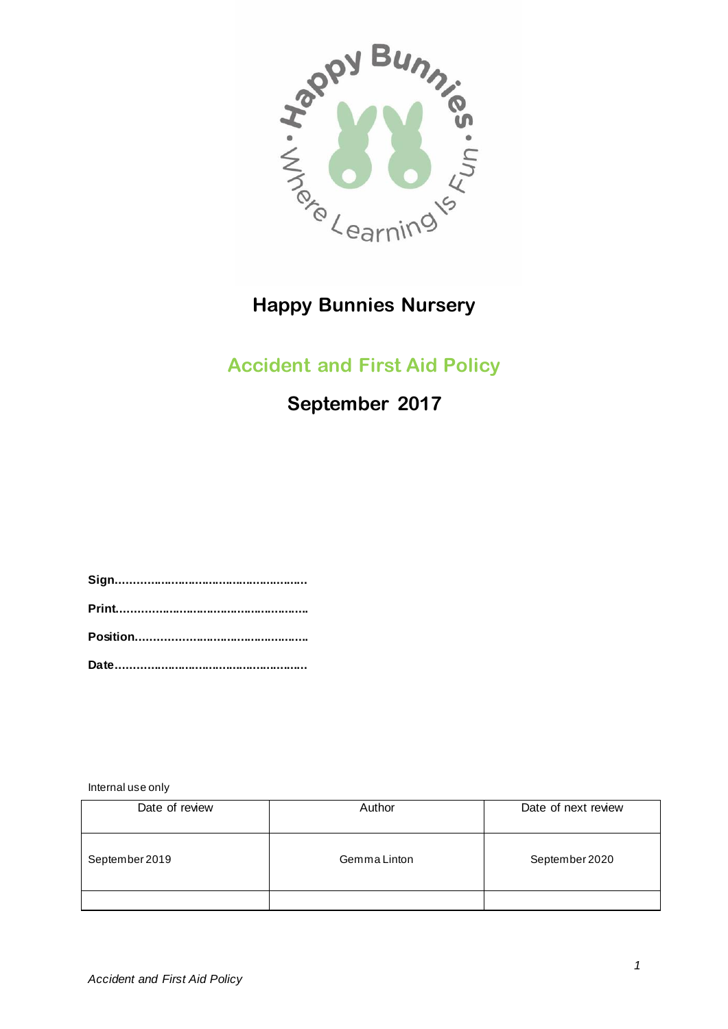

# **Happy Bunnies Nursery**

## **Accident and First Aid Policy**

**September 2017**

**Sign........................................................ Print........................................................ Position.................................................. Date........................................................**

Internal use only

| Date of review | Author       | Date of next review |
|----------------|--------------|---------------------|
| September 2019 | Gemma Linton | September 2020      |
|                |              |                     |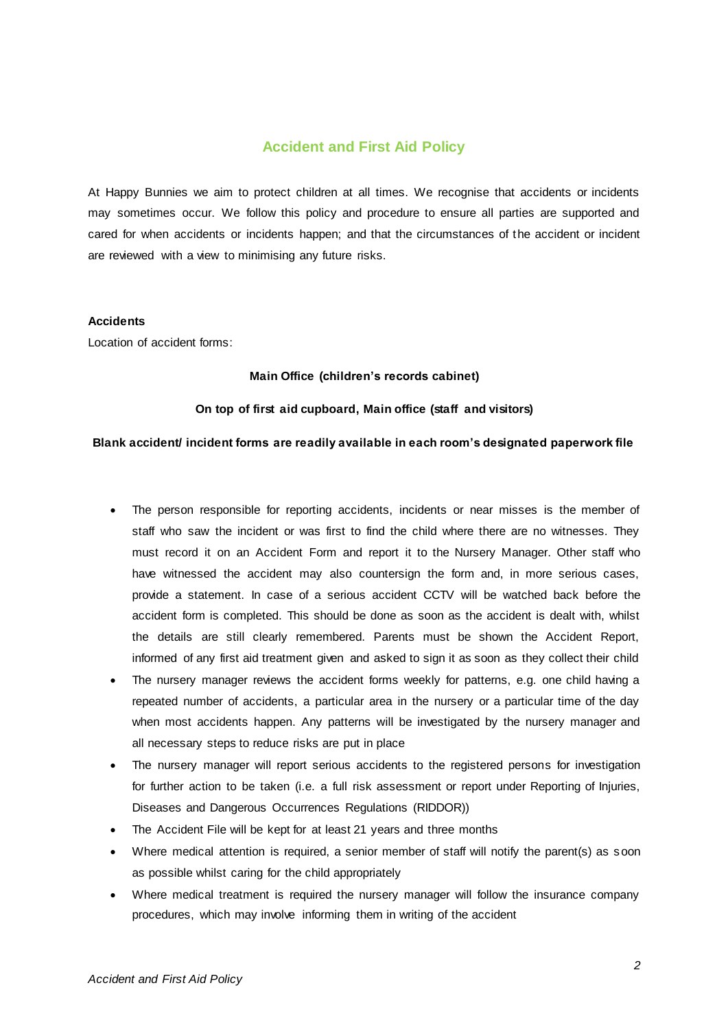## **Accident and First Aid Policy**

At Happy Bunnies we aim to protect children at all times. We recognise that accidents or incidents may sometimes occur. We follow this policy and procedure to ensure all parties are supported and cared for when accidents or incidents happen; and that the circumstances of the accident or incident are reviewed with a view to minimising any future risks.

#### **Accidents**

Location of accident forms:

#### **Main Office (children's records cabinet)**

## **On top of first aid cupboard, Main office (staff and visitors)**

#### **Blank accident/ incident forms are readily available in each room's designated paperwork file**

- The person responsible for reporting accidents, incidents or near misses is the member of staff who saw the incident or was first to find the child where there are no witnesses. They must record it on an Accident Form and report it to the Nursery Manager. Other staff who have witnessed the accident may also countersign the form and, in more serious cases, provide a statement. In case of a serious accident CCTV will be watched back before the accident form is completed. This should be done as soon as the accident is dealt with, whilst the details are still clearly remembered. Parents must be shown the Accident Report, informed of any first aid treatment given and asked to sign it as soon as they collect their child
- The nursery manager reviews the accident forms weekly for patterns, e.g. one child having a repeated number of accidents, a particular area in the nursery or a particular time of the day when most accidents happen. Any patterns will be investigated by the nursery manager and all necessary steps to reduce risks are put in place
- The nursery manager will report serious accidents to the registered persons for investigation for further action to be taken (i.e. a full risk assessment or report under Reporting of Injuries, Diseases and Dangerous Occurrences Regulations (RIDDOR))
- The Accident File will be kept for at least 21 years and three months
- Where medical attention is required, a senior member of staff will notify the parent(s) as s oon as possible whilst caring for the child appropriately
- Where medical treatment is required the nursery manager will follow the insurance company procedures, which may involve informing them in writing of the accident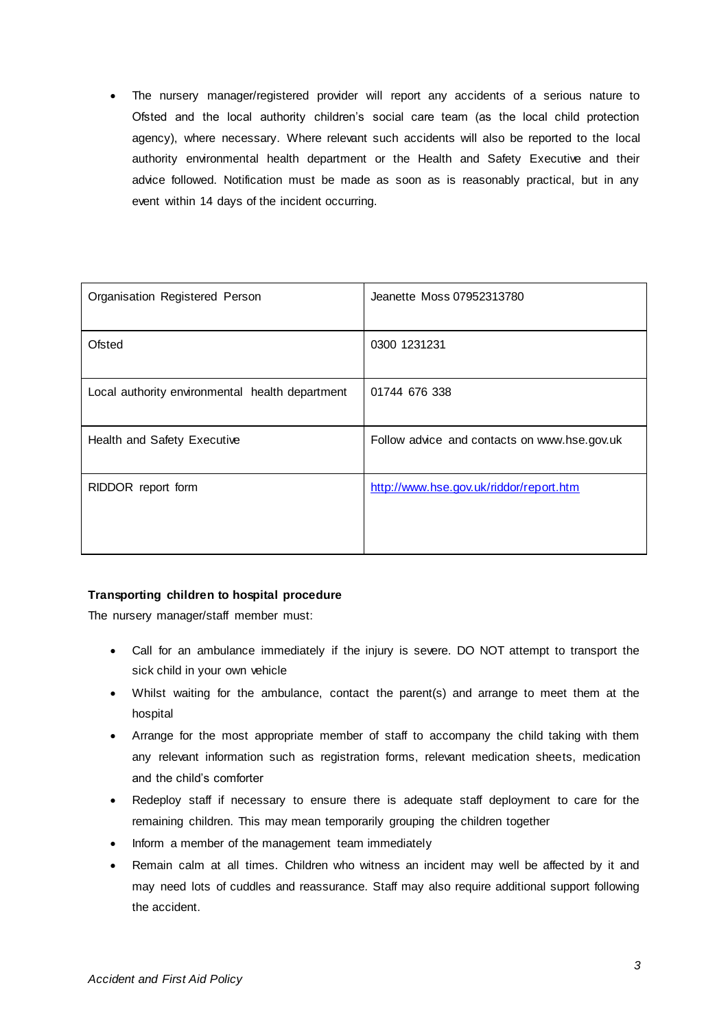The nursery manager/registered provider will report any accidents of a serious nature to Ofsted and the local authority children's social care team (as the local child protection agency), where necessary. Where relevant such accidents will also be reported to the local authority environmental health department or the Health and Safety Executive and their advice followed. Notification must be made as soon as is reasonably practical, but in any event within 14 days of the incident occurring.

| Organisation Registered Person                  | Jeanette Moss 07952313780                    |
|-------------------------------------------------|----------------------------------------------|
| Ofsted                                          | 0300 1231231                                 |
| Local authority environmental health department | 01744 676 338                                |
| Health and Safety Executive                     | Follow advice and contacts on www.hse.gov.uk |
| RIDDOR report form                              | http://www.hse.gov.uk/riddor/report.htm      |

## **Transporting children to hospital procedure**

The nursery manager/staff member must:

- Call for an ambulance immediately if the injury is severe. DO NOT attempt to transport the sick child in your own vehicle
- Whilst waiting for the ambulance, contact the parent(s) and arrange to meet them at the hospital
- Arrange for the most appropriate member of staff to accompany the child taking with them any relevant information such as registration forms, relevant medication sheets, medication and the child's comforter
- Redeploy staff if necessary to ensure there is adequate staff deployment to care for the remaining children. This may mean temporarily grouping the children together
- Inform a member of the management team immediately
- Remain calm at all times. Children who witness an incident may well be affected by it and may need lots of cuddles and reassurance. Staff may also require additional support following the accident.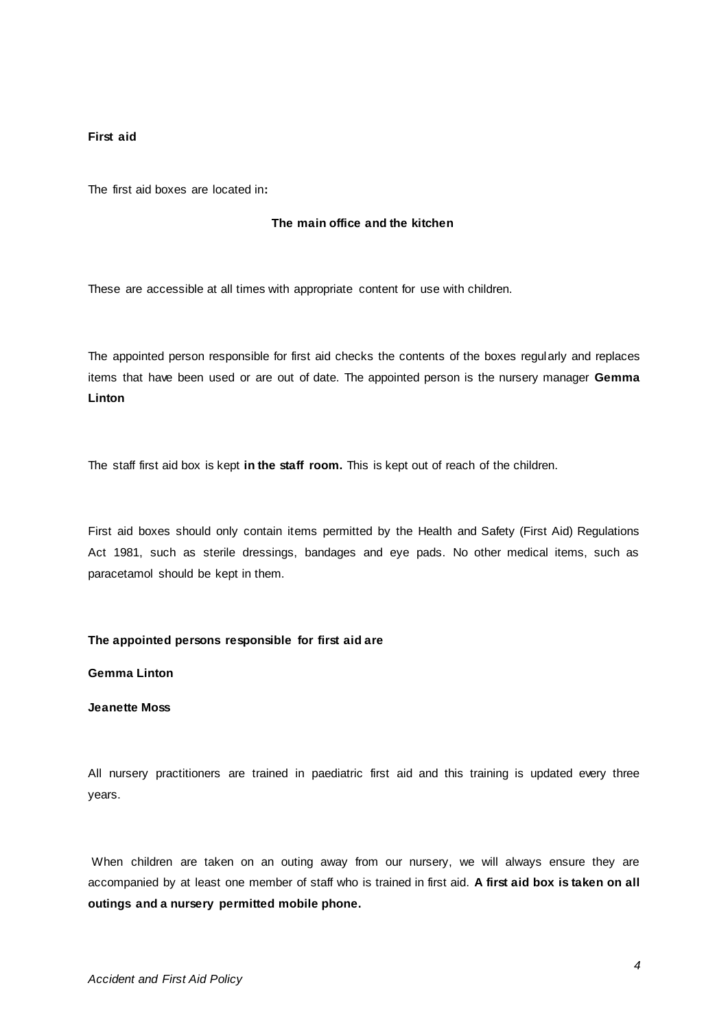#### **First aid**

The first aid boxes are located in**:**

## **The main office and the kitchen**

These are accessible at all times with appropriate content for use with children.

The appointed person responsible for first aid checks the contents of the boxes regularly and replaces items that have been used or are out of date. The appointed person is the nursery manager **Gemma Linton** 

The staff first aid box is kept **in the staff room.** This is kept out of reach of the children.

First aid boxes should only contain items permitted by the Health and Safety (First Aid) Regulations Act 1981, such as sterile dressings, bandages and eye pads. No other medical items, such as paracetamol should be kept in them.

#### **The appointed persons responsible for first aid are**

**Gemma Linton**

## **Jeanette Moss**

All nursery practitioners are trained in paediatric first aid and this training is updated every three years.

When children are taken on an outing away from our nursery, we will always ensure they are accompanied by at least one member of staff who is trained in first aid. **A first aid box is taken on all outings and a nursery permitted mobile phone.**